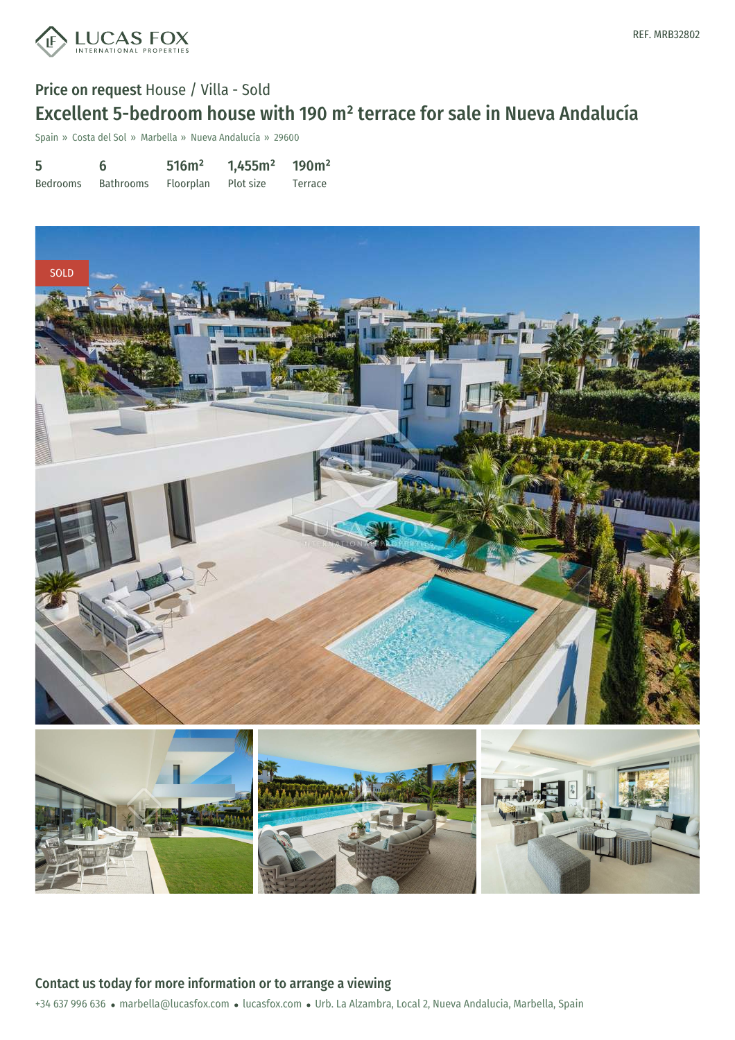

### Price on request House / Villa - Sold

## Excellent 5-bedroom house with 190 m² terrace for sale in Nueva Andalucía

Spain » Costa del Sol » Marbella » Nueva Andalucía » 29600

| 5        | 6         | 516m <sup>2</sup> | 1,455m <sup>2</sup> | 190m <sup>2</sup> |
|----------|-----------|-------------------|---------------------|-------------------|
| Bedrooms | Bathrooms | Floorplan         | Plot size           | Terrace           |



+34 637 996 636 · marbella@lucasfox.com · lucasfox.com · Urb. La Alzambra, Local 2, Nueva Andalucia, Marbella, Spain Contact us today for more information or to arrange a viewing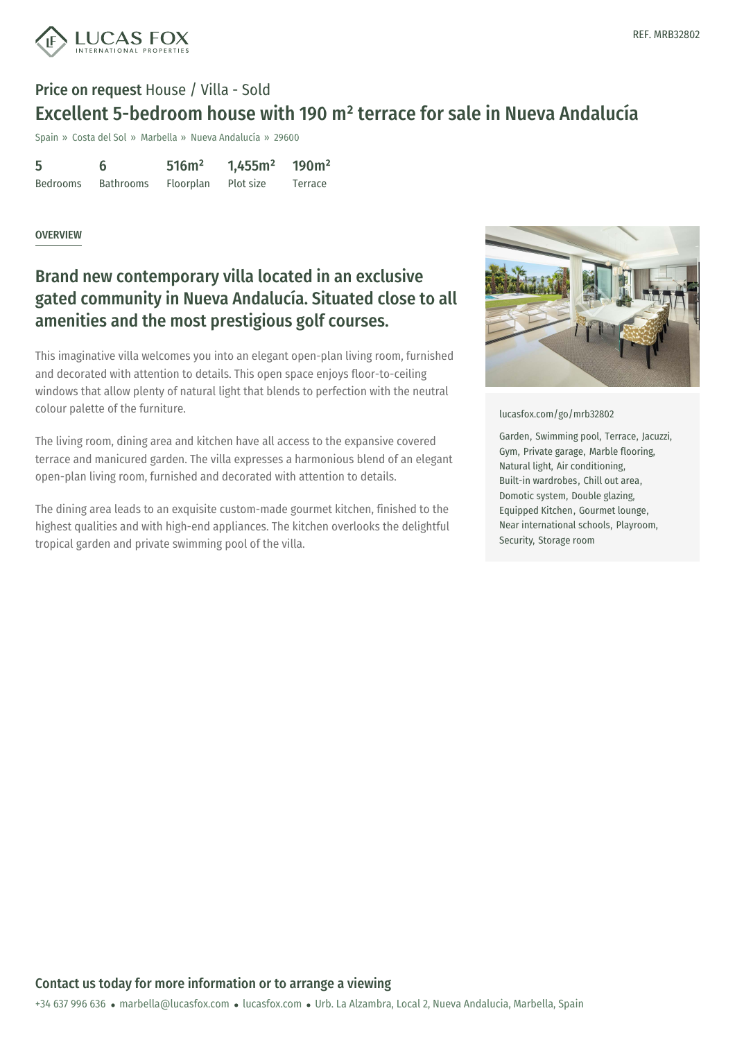



### Price on request House / Villa - Sold Excellent 5-bedroom house with 190 m² terrace for sale in Nueva Andalucía

Spain » Costa del Sol » Marbella » Nueva Andalucía » 29600

| 5               | 6         | 516m <sup>2</sup> | $1,455$ m <sup>2</sup> | 190m <sup>2</sup> |
|-----------------|-----------|-------------------|------------------------|-------------------|
| <b>Bedrooms</b> | Bathrooms | <b>Floorplan</b>  | Plot size              | <b>Terrace</b>    |

#### OVERVIEW

#### Brand new contemporary villa located in an exclusive gated community in Nueva Andalucía. Situated close to all amenities and the most prestigious golf courses.

This imaginative villa welcomes you into an elegant open-plan living room, furnished and decorated with attention to details. This open space enjoys floor-to-ceiling windows that allow plenty of natural light that blends to perfection with the neutral colour palette of the furniture.

The living room, dining area and kitchen have all access to the expansive covered terrace and manicured garden. The villa expresses a harmonious blend of an elegant open-plan living room, furnished and decorated with attention to details.

The dining area leads to an exquisite custom-made gourmet kitchen, finished to the highest qualities and with high-end appliances. The kitchen overlooks the delightful tropical garden and private swimming pool of the villa.



[lucasfox.com/go/mrb32802](https://www.lucasfox.com/go/mrb32802)

Garden, Swimming pool, Terrace, Jacuzzi, Gym, Private garage, Marble flooring, Natural light, Air conditioning, Built-in wardrobes, Chill out area, Domotic system, Double glazing, Equipped Kitchen, Gourmet lounge, Near international schools, Playroom, Security, Storage room